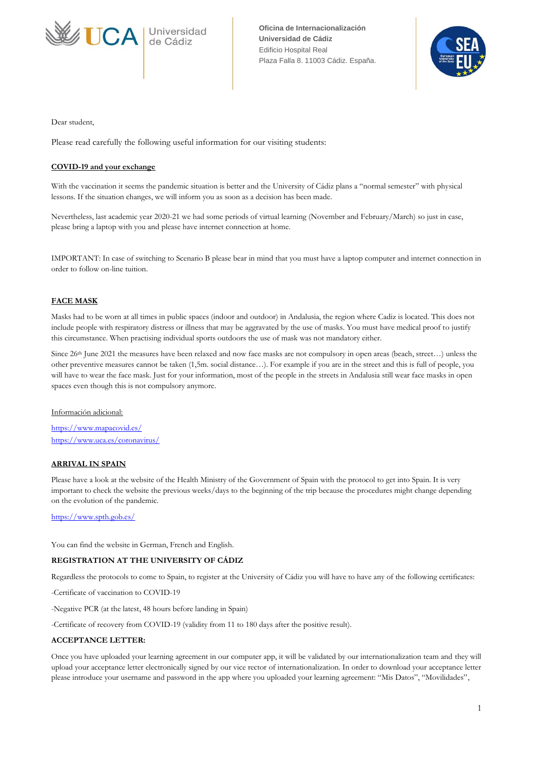

**Oficina de Internacionalización Universidad de Cádiz** Edificio Hospital Real Plaza Falla 8. 11003 Cádiz. España.



Dear student,

Please read carefully the following useful information for our visiting students:

### **COVID-19 and your exchange**

With the vaccination it seems the pandemic situation is better and the University of Cádiz plans a "normal semester" with physical lessons. If the situation changes, we will inform you as soon as a decision has been made.

Nevertheless, last academic year 2020-21 we had some periods of virtual learning (November and February/March) so just in case, please bring a laptop with you and please have internet connection at home.

IMPORTANT: In case of switching to Scenario B please bear in mind that you must have a laptop computer and internet connection in order to follow on-line tuition.

## **FACE MASK**

Masks had to be worn at all times in public spaces (indoor and outdoor) in Andalusia, the region where Cadiz is located. This does not include people with respiratory distress or illness that may be aggravated by the use of masks. You must have medical proof to justify this circumstance. When practising individual sports outdoors the use of mask was not mandatory either.

Since 26th June 2021 the measures have been relaxed and now face masks are not compulsory in open areas (beach, street…) unless the other preventive measures cannot be taken (1,5m. social distance…). For example if you are in the street and this is full of people, you will have to wear the face mask. Just for your information, most of the people in the streets in Andalusia still wear face masks in open spaces even though this is not compulsory anymore.

#### Información adicional:

<https://www.mapacovid.es/> <https://www.uca.es/coronavirus/>

### **ARRIVAL IN SPAIN**

Please have a look at the website of the Health Ministry of the Government of Spain with the protocol to get into Spain. It is very important to check the website the previous weeks/days to the beginning of the trip because the procedures might change depending on the evolution of the pandemic.

<https://www.spth.gob.es/>

You can find the website in German, French and English.

### **REGISTRATION AT THE UNIVERSITY OF CÁDIZ**

Regardless the protocols to come to Spain, to register at the University of Cádiz you will have to have any of the following certificates:

-Certificate of vaccination to COVID-19

-Negative PCR (at the latest, 48 hours before landing in Spain)

-Certificate of recovery from COVID-19 (validity from 11 to 180 days after the positive result).

### **ACCEPTANCE LETTER:**

Once you have uploaded your learning agreement in our computer app, it will be validated by our internationalization team and they will upload your acceptance letter electronically signed by our vice rector of internationalization. In order to download your acceptance letter please introduce your username and password in the app where you uploaded your learning agreement: "Mis Datos", "Movilidades",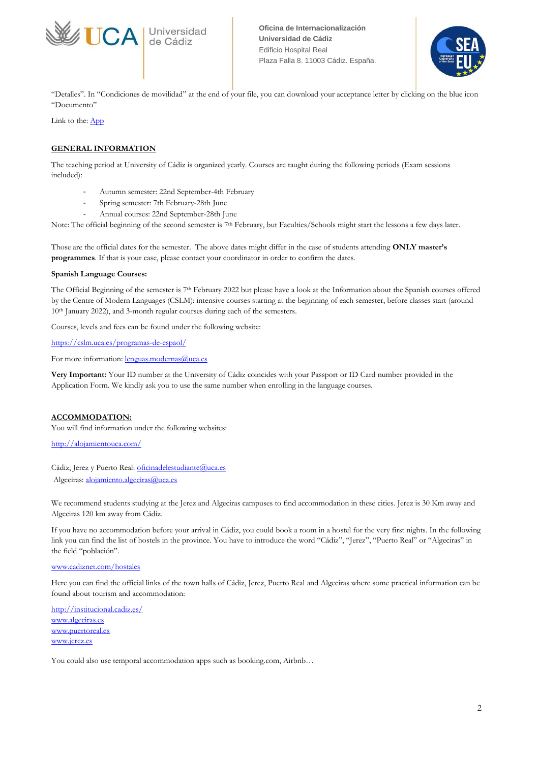



"Detalles". In "Condiciones de movilidad" at the end of your file, you can download your acceptance letter by clicking on the blue icon "Documento"

Link to the[: App](https://ori2.uca.es/es/login/?next=/es/)

# **GENERAL INFORMATION**

The teaching period at University of Cádiz is organized yearly. Courses are taught during the following periods (Exam sessions included):

- Autumn semester: 22nd September-4th February
- Spring semester: 7th February-28th June
- Annual courses: 22nd September-28th June

Note: The official beginning of the second semester is 7th February, but Faculties/Schools might start the lessons a few days later.

Those are the official dates for the semester. The above dates might differ in the case of students attending **ONLY master's programmes**. If that is your case, please contact your coordinator in order to confirm the dates.

## **Spanish Language Courses:**

The Official Beginning of the semester is 7<sup>th</sup> February 2022 but please have a look at the Information about the Spanish courses offered by the Centre of Modern Languages (CSLM): intensive courses starting at the beginning of each semester, before classes start (around 10th January 2022), and 3-month regular courses during each of the semesters.

Courses, levels and fees can be found under the following website:

<https://cslm.uca.es/programas-de-espaol/>

For more information: [lenguas.modernas@uca.es](mailto:lenguas.modernas@uca.es)

**Very Important:** Your ID number at the University of Cádiz coincides with your Passport or ID Card number provided in the Application Form. We kindly ask you to use the same number when enrolling in the language courses.

## **ACCOMMODATION:**

You will find information under the following websites:

http://alojamientouca.com/

Cádiz, Jerez y Puerto Real: [oficinadelestudiante@uca.es](mailto:oficinadelestudiante@uca.es) Algeciras: [alojamiento.algeciras@uca.es](mailto:alojamiento.algeciras@uca.es)

We recommend students studying at the Jerez and Algeciras campuses to find accommodation in these cities. Jerez is 30 Km away and Algeciras 120 km away from Cádiz.

If you have no accommodation before your arrival in Cádiz, you could book a room in a hostel for the very first nights. In the following link you can find the list of hostels in the province. You have to introduce the word "Cádiz", "Jerez", "Puerto Real" or "Algeciras" in the field "población".

[www.cadiznet.com/hostales](http://www.cadiznet.com/hostales)

Here you can find the official links of the town halls of Cádiz, Jerez, Puerto Real and Algeciras where some practical information can be found about tourism and accommodation:

<http://institucional.cadiz.es/> [www.algeciras.es](http://www.algeciras.es/) [www.puertoreal.es](http://www.puertoreal.es/) [www.jerez.es](http://www.jerez.es/)

You could also use temporal accommodation apps such as booking.com, Airbnb…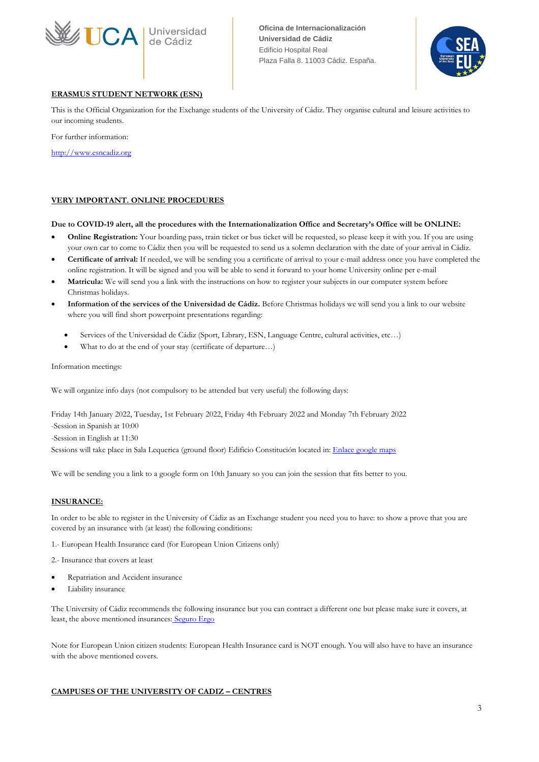



# **ERASMUS STUDENT NETWORK (ESN)**

This is the Official Organization for the Exchange students of the University of Cádiz. They organise cultural and leisure activities to our incoming students.

For further information:

[http://www.esncadiz.org](http://www.esncadiz.org/)

### **VERY IMPORTANT. ONLINE PROCEDURES**

#### **Due to COVID-19 alert, all the procedures with the Internationalization Office and Secretary's Office will be ONLINE:**

- **Online Registration:** Your boarding pass, train ticket or bus ticket will be requested, so please keep it with you. If you are using your own car to come to Cádiz then you will be requested to send us a solemn declaration with the date of your arrival in Cádiz.
- **Certificate of arrival:** If needed, we will be sending you a certificate of arrival to your e-mail address once you have completed the online registration. It will be signed and you will be able to send it forward to your home University online per e-mail
- **Matricula:** We will send you a link with the instructions on how to register your subjects in our computer system before Christmas holidays.
- **Information of the services of the Universidad de Cádiz.** Before Christmas holidays we will send you a link to our website where you will find short powerpoint presentations regarding:
	- Services of the Universidad de Cádiz (Sport, Library, ESN, Language Centre, cultural activities, etc…)
	- What to do at the end of your stay (certificate of departure…)

Information meetings:

We will organize info days (not compulsory to be attended but very useful) the following days:

Friday 14th January 2022, Tuesday, 1st February 2022, Friday 4th February 2022 and Monday 7th February 2022 -Session in Spanish at 10:00 -Session in English at 11:30 Sessions will take place in Sala Lequerica (ground floor) Edificio Constitución located in[: Enlace google maps](https://www.google.es/maps/place/Edificio+Constituci%C3%B3n+1812/@36.5368795,-6.3040504,17z/data=!3m2!4b1!5s0xd0dd15d87edf681:0xcb7d54ceca68859b!4m5!3m4!1s0xd0dd15d8f8943d1:0xf82d9696be249e4!8m2!3d36.5368746!4d-6.3018781?hl=es)

We will be sending you a link to a google form on 10th January so you can join the session that fits better to you.

### **INSURANCE:**

In order to be able to register in the University of Cádiz as an Exchange student you need you to have: to show a prove that you are covered by an insurance with (at least) the following conditions:

- 1.- European Health Insurance card (for European Union Citizens only)
- 2.- Insurance that covers at least
- Repatriation and Accident insurance
- Liability insurance

The University of Cádiz recommends the following insurance but you can contract a different one but please make sure it covers, at least, the above mentioned insurances: [Seguro Ergo](https://www.ergo-segurosdeviaje.es/EOS/agregadorflotante?lang=es&u=Pw2WI3gB55IJAJAHfy8N2w%3D%3D&p=NDaB8SqACqk%3D&numPoliza=07631000436)

Note for European Union citizen students: European Health Insurance card is NOT enough. You will also have to have an insurance with the above mentioned covers.

### **CAMPUSES OF THE UNIVERSITY OF CADIZ – CENTRES**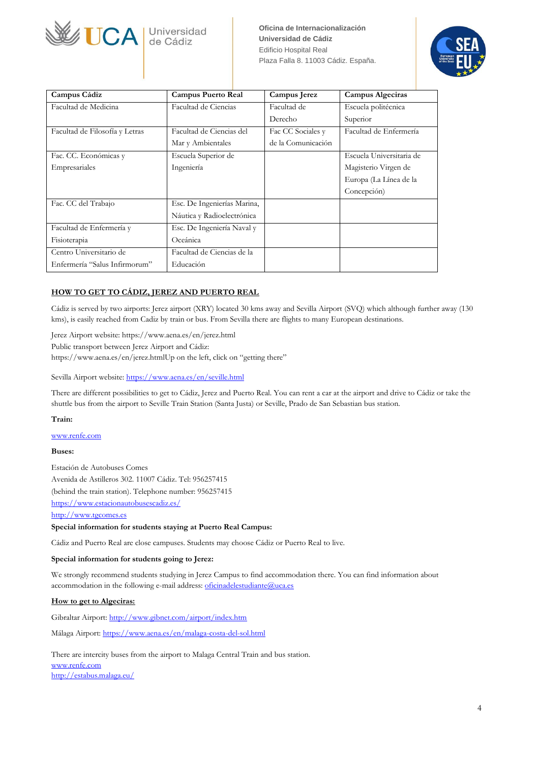

**Oficina de Internacionalización Universidad de Cádiz** Edificio Hospital Real Plaza Falla 8. 11003 Cádiz. España.



| Campus Cádiz                   | <b>Campus Puerto Real</b>   | Campus Jerez       | Campus Algeciras         |
|--------------------------------|-----------------------------|--------------------|--------------------------|
| Facultad de Medicina           | Facultad de Ciencias        | Facultad de        | Escuela politécnica      |
|                                |                             | Derecho            | Superior                 |
| Facultad de Filosofía y Letras | Facultad de Ciencias del    | Fac CC Sociales y  | Facultad de Enfermería   |
|                                | Mar y Ambientales           | de la Comunicación |                          |
| Fac. CC. Económicas y          | Escuela Superior de         |                    | Escuela Universitaria de |
| Empresariales                  | Ingeniería                  |                    | Magisterio Virgen de     |
|                                |                             |                    | Europa (La Línea de la   |
|                                |                             |                    | Concepción)              |
| Fac. CC del Trabajo            | Esc. De Ingenierías Marina, |                    |                          |
|                                | Náutica y Radioelectrónica  |                    |                          |
| Facultad de Enfermería y       | Esc. De Ingeniería Naval y  |                    |                          |
| Fisioterapia                   | Oceánica                    |                    |                          |
| Centro Universitario de        | Facultad de Ciencias de la  |                    |                          |
| Enfermería "Salus Infirmorum"  | Educación                   |                    |                          |

## **HOW TO GET TO CÁDIZ, JEREZ AND PUERTO REAL**

Cádiz is served by two airports: Jerez airport (XRY) located 30 kms away and Sevilla Airport (SVQ) which although further away (130 kms), is easily reached from Cadiz by train or bus. From Sevilla there are flights to many European destinations.

Jerez Airport website: https://www.aena.es/en/jerez.html

Public transport between Jerez Airport and Cádiz:

https://www.aena.es/en/jerez.htmlUp on the left, click on "getting there"

Sevilla Airport website[: https://www.aena.es/en/seville.html](https://www.aena.es/en/seville.html)

There are different possibilities to get to Cádiz, Jerez and Puerto Real. You can rent a car at the airport and drive to Cádiz or take the shuttle bus from the airport to Seville Train Station (Santa Justa) or Seville, Prado de San Sebastian bus station.

### **Train:**

## [www.renfe.com](http://www.renfe.com/)

### **Buses:**

Estación de Autobuses Comes Avenida de Astilleros 302. 11007 Cádiz. Tel: 956257415 (behind the train station). Telephone number: 956257415 <https://www.estacionautobusescadiz.es/> [http://www.tgcomes.es](http://www.tgcomes.es/)

### **Special information for students staying at Puerto Real Campus:**

Cádiz and Puerto Real are close campuses. Students may choose Cádiz or Puerto Real to live.

### **Special information for students going to Jerez:**

We strongly recommend students studying in Jerez Campus to find accommodation there. You can find information about accommodation in the following e-mail address: [oficinadelestudiante@uca.es](mailto:oficinadelestudiante@uca.es)

### **How to get to Algeciras:**

Gibraltar Airport[: http://www.gibnet.com/airport/index.htm](http://www.gibnet.com/airport/index.htm) Málaga Airport[: https://www.aena.es/en/malaga-costa-del-sol.html](https://www.aena.es/en/malaga-costa-del-sol.html)

There are intercity buses from the airport to Malaga Central Train and bus station. [www.renfe.com](http://www.renfe.com/) <http://estabus.malaga.eu/>